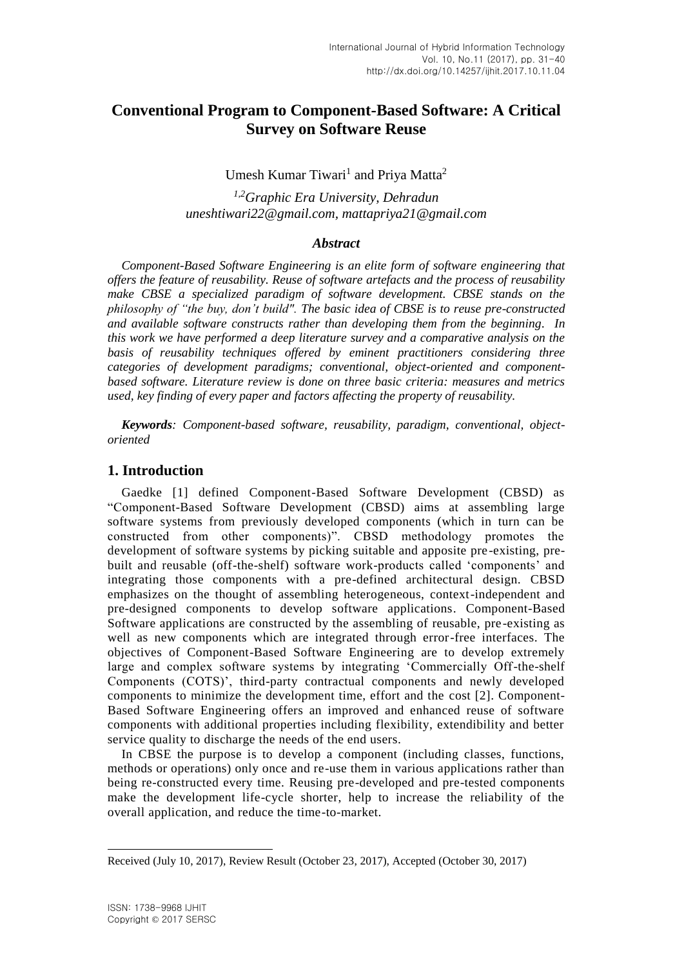# **Conventional Program to Component-Based Software: A Critical Survey on Software Reuse**

Umesh Kumar Tiwari<sup>1</sup> and Priya Matta<sup>2</sup>

*1,2Graphic Era University, Dehradun uneshtiwari22@gmail.com, mattapriya21@gmail.com*

#### *Abstract*

*Component-Based Software Engineering is an elite form of software engineering that offers the feature of reusability. Reuse of software artefacts and the process of reusability make CBSE a specialized paradigm of software development. CBSE stands on the philosophy of "the buy, don't build". The basic idea of CBSE is to reuse pre-constructed and available software constructs rather than developing them from the beginning. In this work we have performed a deep literature survey and a comparative analysis on the basis of reusability techniques offered by eminent practitioners considering three categories of development paradigms; conventional, object-oriented and componentbased software. Literature review is done on three basic criteria: measures and metrics used, key finding of every paper and factors affecting the property of reusability.*

*Keywords: Component-based software, reusability, paradigm, conventional, objectoriented* 

## **1. Introduction**

Gaedke [1] defined Component-Based Software Development (CBSD) as "Component-Based Software Development (CBSD) aims at assembling large software systems from previously developed components (which in turn can be constructed from other components)". CBSD methodology promotes the development of software systems by picking suitable and apposite pre -existing, prebuilt and reusable (off-the-shelf) software work-products called 'components' and integrating those components with a pre-defined architectural design. CBSD emphasizes on the thought of assembling heterogeneous, context-independent and pre-designed components to develop software applications. Component-Based Software applications are constructed by the assembling of reusable, pre -existing as well as new components which are integrated through error-free interfaces. The objectives of Component-Based Software Engineering are to develop extremely large and complex software systems by integrating 'Commercially Off-the-shelf Components (COTS)', third-party contractual components and newly developed components to minimize the development time, effort and the cost [2]. Component-Based Software Engineering offers an improved and enhanced reuse of software components with additional properties including flexibility, extendibility and better service quality to discharge the needs of the end users.

In CBSE the purpose is to develop a component (including classes, functions, methods or operations) only once and re-use them in various applications rather than being re-constructed every time. Reusing pre-developed and pre-tested components make the development life-cycle shorter, help to increase the reliability of the overall application, and reduce the time-to-market.

l

Received (July 10, 2017), Review Result (October 23, 2017), Accepted (October 30, 2017)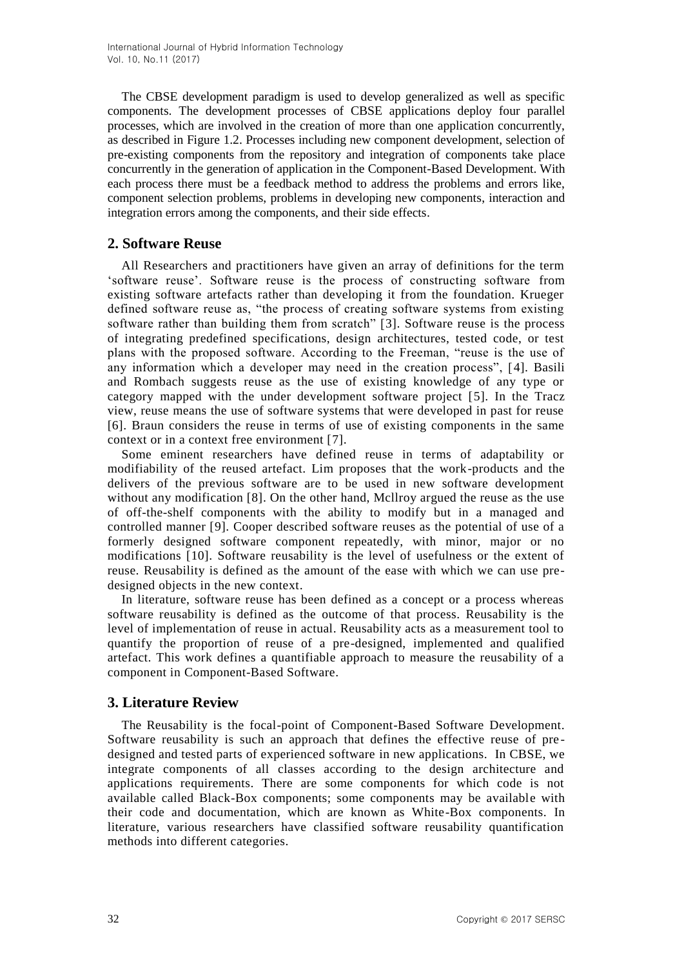The CBSE development paradigm is used to develop generalized as well as specific components. The development processes of CBSE applications deploy four parallel processes, which are involved in the creation of more than one application concurrently, as described in Figure 1.2. Processes including new component development, selection of pre-existing components from the repository and integration of components take place concurrently in the generation of application in the Component-Based Development. With each process there must be a feedback method to address the problems and errors like, component selection problems, problems in developing new components, interaction and integration errors among the components, and their side effects.

## **2. Software Reuse**

All Researchers and practitioners have given an array of definitions for the term 'software reuse'. Software reuse is the process of constructing software from existing software artefacts rather than developing it from the foundation. Krueger defined software reuse as, "the process of creating software systems from existing software rather than building them from scratch" [3]. Software reuse is the process of integrating predefined specifications, design architectures, tested code, or test plans with the proposed software. According to the Freeman, "reuse is the use of any information which a developer may need in the creation process", [4]. Basili and Rombach suggests reuse as the use of existing knowledge of any type or category mapped with the under development software project [5]. In the Tracz view, reuse means the use of software systems that were developed in past for reuse [6]. Braun considers the reuse in terms of use of existing components in the same context or in a context free environment [7].

Some eminent researchers have defined reuse in terms of adaptability or modifiability of the reused artefact. Lim proposes that the work-products and the delivers of the previous software are to be used in new software development without any modification [8]. On the other hand, Mcllroy argued the reuse as the use of off-the-shelf components with the ability to modify but in a managed and controlled manner [9]. Cooper described software reuses as the potential of use of a formerly designed software component repeatedly, with minor, major or no modifications [10]. Software reusability is the level of usefulness or the extent of reuse. Reusability is defined as the amount of the ease with which we can use predesigned objects in the new context.

In literature, software reuse has been defined as a concept or a process whereas software reusability is defined as the outcome of that process. Reusability is the level of implementation of reuse in actual. Reusability acts as a measurement tool to quantify the proportion of reuse of a pre-designed, implemented and qualified artefact. This work defines a quantifiable approach to measure the reusability of a component in Component-Based Software.

## **3. Literature Review**

The Reusability is the focal-point of Component-Based Software Development. Software reusability is such an approach that defines the effective reuse of pre designed and tested parts of experienced software in new applications. In CBSE, we integrate components of all classes according to the design architecture and applications requirements. There are some components for which code is not available called Black-Box components; some components may be available with their code and documentation, which are known as White-Box components. In literature, various researchers have classified software reusability quantification methods into different categories.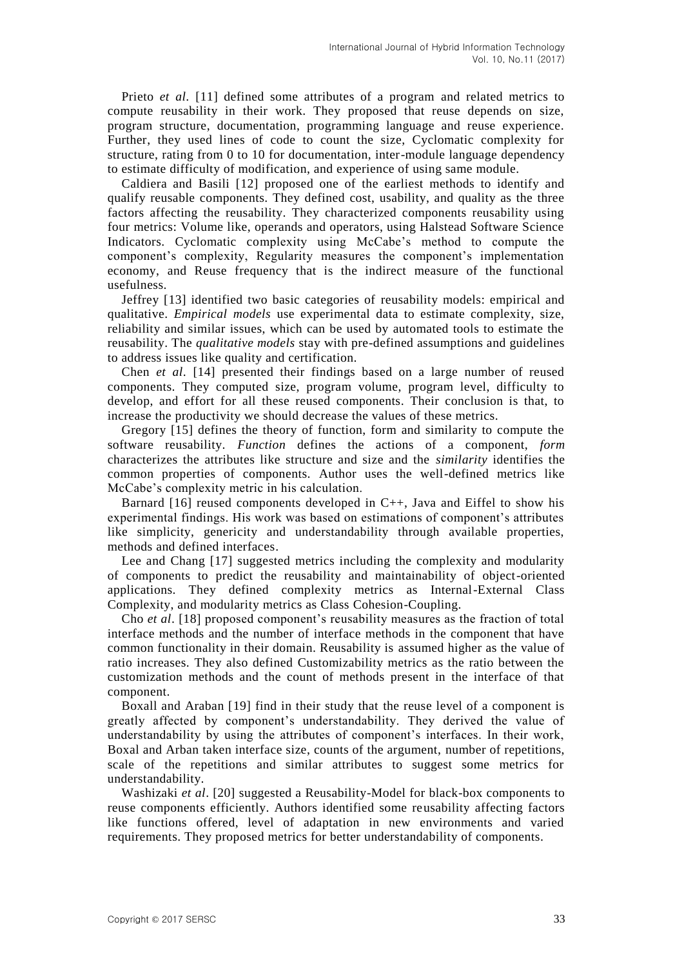Prieto *et al.* [11] defined some attributes of a program and related metrics to compute reusability in their work. They proposed that reuse depends on size, program structure, documentation, programming language and reuse experience. Further, they used lines of code to count the size, Cyclomatic complexity for structure, rating from 0 to 10 for documentation, inter-module language dependency to estimate difficulty of modification, and experience of using same module.

Caldiera and Basili [12] proposed one of the earliest methods to identify and qualify reusable components. They defined cost, usability, and quality as the three factors affecting the reusability. They characterized components reusability using four metrics: Volume like, operands and operators, using Halstead Software Science Indicators. Cyclomatic complexity using McCabe's method to compute the component's complexity, Regularity measures the component's implementation economy, and Reuse frequency that is the indirect measure of the functional usefulness.

Jeffrey [13] identified two basic categories of reusability models: empirical and qualitative. *Empirical models* use experimental data to estimate complexity, size, reliability and similar issues, which can be used by automated tools to estimate the reusability. The *qualitative models* stay with pre-defined assumptions and guidelines to address issues like quality and certification.

Chen *et al*. [14] presented their findings based on a large number of reused components. They computed size, program volume, program level, difficulty to develop, and effort for all these reused components. Their conclusion is that, to increase the productivity we should decrease the values of these metrics.

Gregory [15] defines the theory of function, form and similarity to compute the software reusability. *Function* defines the actions of a component, *form* characterizes the attributes like structure and size and the *similarity* identifies the common properties of components. Author uses the well-defined metrics like McCabe's complexity metric in his calculation.

Barnard [16] reused components developed in C++, Java and Eiffel to show his experimental findings. His work was based on estimations of component's attributes like simplicity, genericity and understandability through available properties, methods and defined interfaces.

Lee and Chang [17] suggested metrics including the complexity and modularity of components to predict the reusability and maintainability of object-oriented applications. They defined complexity metrics as Internal-External Class Complexity, and modularity metrics as Class Cohesion-Coupling.

Cho *et al*. [18] proposed component's reusability measures as the fraction of total interface methods and the number of interface methods in the component that have common functionality in their domain. Reusability is assumed higher as the value of ratio increases. They also defined Customizability metrics as the ratio between the customization methods and the count of methods present in the interface of that component.

Boxall and Araban [19] find in their study that the reuse level of a component is greatly affected by component's understandability. They derived the value of understandability by using the attributes of component's interfaces. In their work, Boxal and Arban taken interface size, counts of the argument, number of repetitions, scale of the repetitions and similar attributes to suggest some metrics for understandability.

Washizaki *et al*. [20] suggested a Reusability-Model for black-box components to reuse components efficiently. Authors identified some reusability affecting factors like functions offered, level of adaptation in new environments and varied requirements. They proposed metrics for better understandability of components.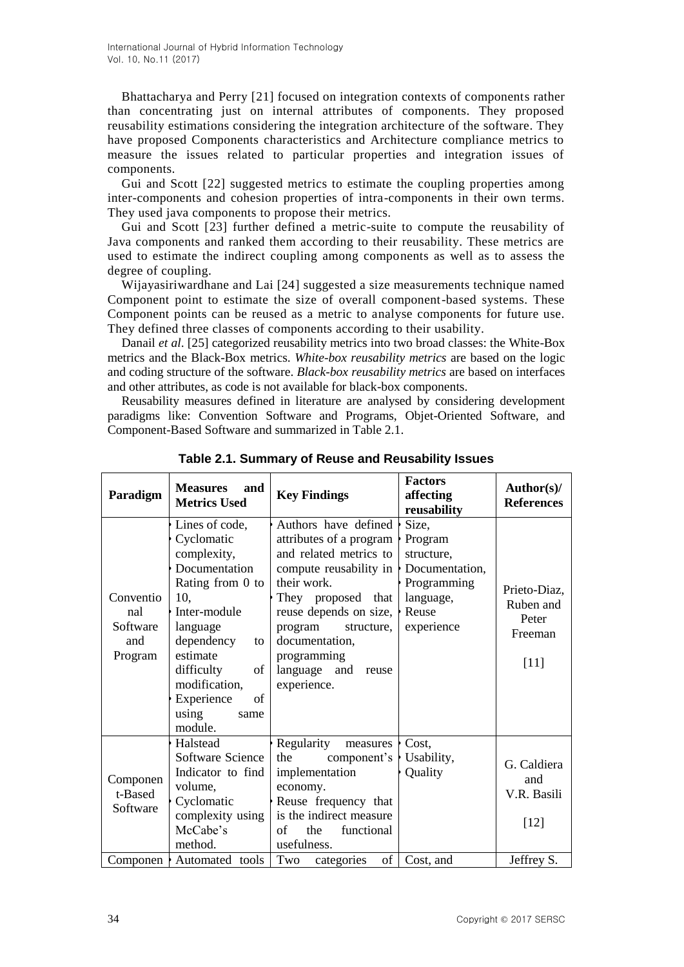International Journal of Hybrid Information Technology Vol. 10, No.11 (2017)

Bhattacharya and Perry [21] focused on integration contexts of components rather than concentrating just on internal attributes of components. They proposed reusability estimations considering the integration architecture of the software. They have proposed Components characteristics and Architecture compliance metrics to measure the issues related to particular properties and integration issues of components.

Gui and Scott [22] suggested metrics to estimate the coupling properties among inter-components and cohesion properties of intra-components in their own terms. They used java components to propose their metrics.

Gui and Scott [23] further defined a metric-suite to compute the reusability of Java components and ranked them according to their reusability. These metrics are used to estimate the indirect coupling among components as well as to assess the degree of coupling.

Wijayasiriwardhane and Lai [24] suggested a size measurements technique named Component point to estimate the size of overall component-based systems. These Component points can be reused as a metric to analyse components for future use. They defined three classes of components according to their usability.

Danail *et al*. [25] categorized reusability metrics into two broad classes: the White-Box metrics and the Black-Box metrics. *White-box reusability metrics* are based on the logic and coding structure of the software. *Black-box reusability metrics* are based on interfaces and other attributes, as code is not available for black-box components.

Reusability measures defined in literature are analysed by considering development paradigms like: Convention Software and Programs, Objet-Oriented Software, and Component-Based Software and summarized in Table 2.1.

| Paradigm                                       | <b>Measures</b><br>and<br><b>Metrics Used</b>                                                                                                                                                                                            | <b>Key Findings</b>                                                                                                                                                                                                                                                  | <b>Factors</b><br>affecting<br>reusability                                                          | Author(s)/<br><b>References</b>                         |
|------------------------------------------------|------------------------------------------------------------------------------------------------------------------------------------------------------------------------------------------------------------------------------------------|----------------------------------------------------------------------------------------------------------------------------------------------------------------------------------------------------------------------------------------------------------------------|-----------------------------------------------------------------------------------------------------|---------------------------------------------------------|
| Conventio<br>nal<br>Software<br>and<br>Program | Lines of code,<br>Cyclomatic<br>complexity,<br>Documentation<br>Rating from 0 to<br>10,<br>Inter-module<br>language<br>dependency<br>to<br>estimate<br>difficulty<br>of<br>modification,<br>Experience<br>of<br>using<br>same<br>module. | Authors have defined<br>attributes of a program<br>and related metrics to<br>compute reusability in<br>their work.<br>They proposed that<br>reuse depends on size,<br>structure,<br>program<br>documentation.<br>programming<br>language and<br>reuse<br>experience. | Size,<br>Program<br>structure,<br>Documentation,<br>Programming<br>language,<br>Reuse<br>experience | Prieto-Diaz,<br>Ruben and<br>Peter<br>Freeman<br>$[11]$ |
| Componen<br>t-Based<br>Software                | Halstead<br>Software Science<br>Indicator to find<br>volume,<br>Cyclomatic<br>complexity using<br>McCabe's<br>method.                                                                                                                    | Regularity<br>measures<br>the<br>component's<br>implementation<br>economy.<br>Reuse frequency that<br>is the indirect measure<br>of<br>functional<br>the<br>usefulness.                                                                                              | Cost,<br>Usability,<br>Quality                                                                      | G. Caldiera<br>and<br>V.R. Basili<br>$[12]$             |
| $Component \cdot$                              | Automated tools                                                                                                                                                                                                                          | Two<br>of<br>categories                                                                                                                                                                                                                                              | Cost, and                                                                                           | Jeffrey S.                                              |

**Table 2.1. Summary of Reuse and Reusability Issues**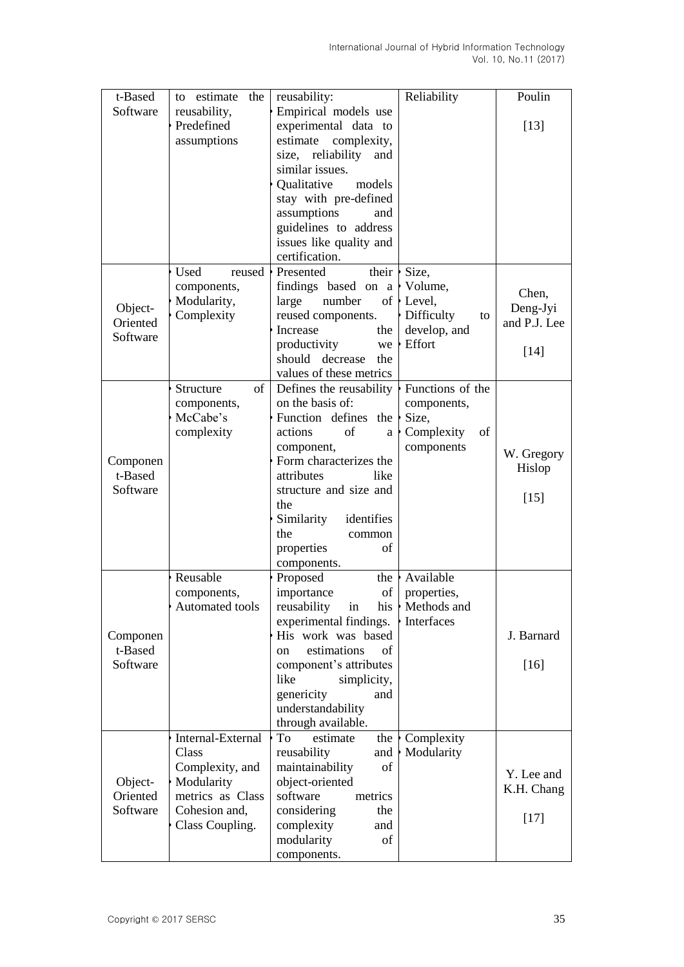| t-Based              | estimate<br>the<br>to      | reusability:                                     | Reliability               | Poulin       |
|----------------------|----------------------------|--------------------------------------------------|---------------------------|--------------|
| Software             | reusability,               | Empirical models use                             |                           |              |
|                      | Predefined                 | experimental data to                             |                           | $[13]$       |
|                      | assumptions                | estimate<br>complexity,                          |                           |              |
|                      |                            | size, reliability<br>and                         |                           |              |
|                      |                            | similar issues.                                  |                           |              |
|                      |                            | Qualitative<br>models                            |                           |              |
|                      |                            | stay with pre-defined                            |                           |              |
|                      |                            | assumptions<br>and                               |                           |              |
|                      |                            | guidelines to address<br>issues like quality and |                           |              |
|                      |                            | certification.                                   |                           |              |
|                      | Used<br>reused             | Presented<br>their                               | Size,                     |              |
|                      | components,                | findings based on a                              | Volume,                   |              |
|                      | Modularity,                | large<br>number<br>of                            | Level,                    | Chen,        |
| Object-              | Complexity                 | reused components.                               | Difficulty<br>to          | Deng-Jyi     |
| Oriented<br>Software |                            | Increase<br>the                                  | develop, and              | and P.J. Lee |
|                      |                            | productivity<br>we                               | Effort                    | $[14]$       |
|                      |                            | should decrease<br>the                           |                           |              |
|                      |                            | values of these metrics                          |                           |              |
|                      | of<br>Structure            | Defines the reusability                          | Functions of the          |              |
|                      | components,<br>McCabe's    | on the basis of:                                 | components,               |              |
|                      | complexity                 | Function defines the<br>of<br>actions            | Size,<br>Complexity<br>of |              |
|                      |                            | a<br>component,                                  | components                |              |
| Componen             |                            | Form characterizes the                           |                           | W. Gregory   |
| t-Based              |                            | attributes<br>like                               |                           | Hislop       |
| Software             |                            | structure and size and                           |                           |              |
|                      |                            | the                                              |                           | $[15]$       |
|                      |                            | identifies<br>Similarity                         |                           |              |
|                      |                            | the<br>common                                    |                           |              |
|                      |                            | properties<br>of                                 |                           |              |
|                      | Reusable                   | components.                                      | Available                 |              |
|                      | components,                | Proposed<br>the<br>of<br>importance              | properties,               |              |
|                      | Automated tools            | reusability<br>in<br>his                         | Methods and               |              |
|                      |                            | experimental findings.                           | Interfaces                |              |
| Componen             |                            | His work was based                               |                           | J. Barnard   |
| t-Based              |                            | estimations<br>of<br>on                          |                           |              |
| Software             |                            | component's attributes                           |                           | $[16]$       |
|                      |                            | like<br>simplicity,                              |                           |              |
|                      |                            | genericity<br>and                                |                           |              |
|                      |                            | understandability                                |                           |              |
|                      |                            | through available.                               |                           |              |
|                      | Internal-External<br>Class | To<br>estimate<br>the<br>reusability<br>and      | Complexity<br>Modularity  |              |
|                      | Complexity, and            | maintainability<br>of                            |                           |              |
| Object-              | Modularity                 | object-oriented                                  |                           | Y. Lee and   |
| Oriented             | metrics as Class           | software<br>metrics                              |                           | K.H. Chang   |
| Software             | Cohesion and,              | considering<br>the                               |                           |              |
|                      | Class Coupling.            | complexity<br>and                                |                           | $[17]$       |
|                      |                            | modularity<br>of                                 |                           |              |
|                      |                            | components.                                      |                           |              |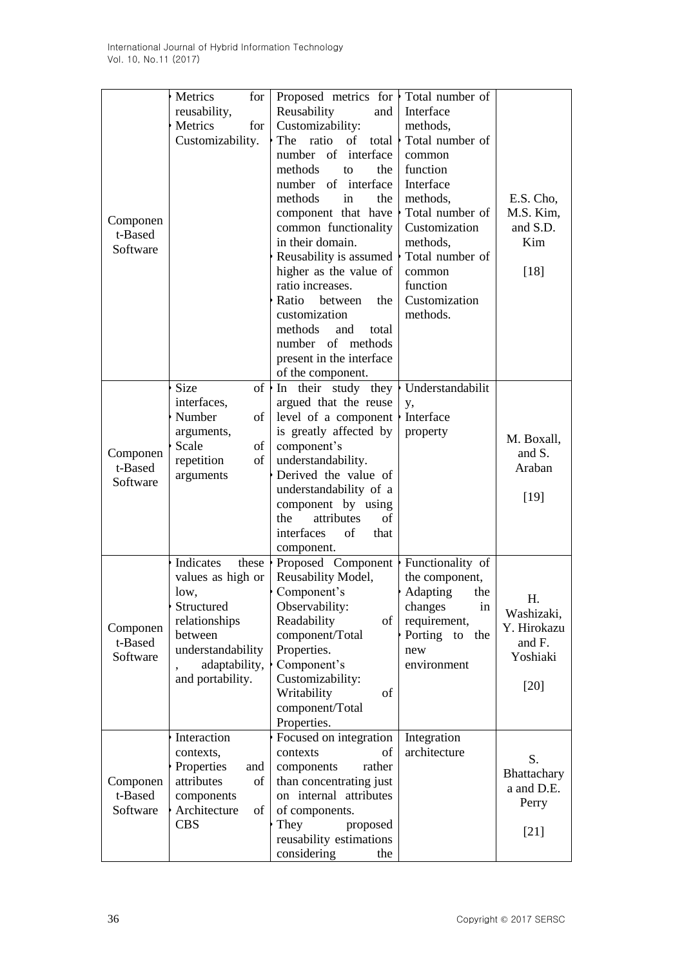| Componen<br>t-Based<br>Software | Metrics<br>for<br>reusability,<br>Metrics<br>for<br>Customizability.                                                                                  | Proposed metrics for<br>Reusability<br>and<br>Customizability:<br>ratio<br>of<br>The<br>total<br>number of interface<br>the<br>methods<br>to<br>number of interface<br>methods<br>in<br>the<br>component that have<br>common functionality<br>in their domain.<br>Reusability is assumed<br>higher as the value of<br>ratio increases.<br>the<br>Ratio between<br>customization<br>methods<br>and<br>total<br>number of<br>methods<br>present in the interface<br>of the component. | Total number of<br>Interface<br>methods,<br>Total number of<br>common<br>function<br>Interface<br>methods,<br>Total number of<br>Customization<br>methods,<br>Total number of<br>common<br>function<br>Customization<br>methods. | E.S. Cho,<br>M.S. Kim,<br>and S.D.<br>Kim<br>$[18]$             |
|---------------------------------|-------------------------------------------------------------------------------------------------------------------------------------------------------|-------------------------------------------------------------------------------------------------------------------------------------------------------------------------------------------------------------------------------------------------------------------------------------------------------------------------------------------------------------------------------------------------------------------------------------------------------------------------------------|----------------------------------------------------------------------------------------------------------------------------------------------------------------------------------------------------------------------------------|-----------------------------------------------------------------|
| Componen<br>t-Based<br>Software | <b>Size</b><br>$of \cdot$<br>interfaces,<br>Number<br>of<br>arguments,<br>Scale<br>of<br>repetition<br>of<br>arguments                                | In their study they<br>argued that the reuse<br>level of a component<br>is greatly affected by<br>component's<br>understandability.<br>Derived the value of<br>understandability of a<br>component by using<br>attributes<br>the<br>of<br>interfaces<br>of<br>that<br>component.                                                                                                                                                                                                    | Understandabilit<br>у,<br>Interface<br>property                                                                                                                                                                                  | M. Boxall,<br>and S.<br>Araban<br>$[19]$                        |
| Componen<br>t-Based<br>Software | Indicates<br>these ·<br>values as high or<br>low,<br>Structured<br>relationships<br>between<br>understandability<br>adaptability,<br>and portability. | Proposed Component<br>Reusability Model,<br>Component's<br>Observability:<br>Readability<br>of<br>component/Total<br>Properties.<br>Component's<br>Customizability:<br>Writability<br>of<br>component/Total<br>Properties.                                                                                                                                                                                                                                                          | Functionality of<br>the component,<br>Adapting<br>the<br>changes<br>1n<br>requirement,<br>Porting to<br>the<br>new<br>environment                                                                                                | Н.<br>Washizaki,<br>Y. Hirokazu<br>and F.<br>Yoshiaki<br>$[20]$ |
| Componen<br>t-Based<br>Software | Interaction<br>contexts,<br>Properties<br>and<br>attributes<br>$\sigma f$<br>components<br>Architecture<br>$\sigma$<br><b>CBS</b>                     | Focused on integration<br>of<br>contexts<br>rather<br>components<br>than concentrating just<br>on internal attributes<br>of components.<br>They<br>proposed<br>reusability estimations<br>considering<br>the                                                                                                                                                                                                                                                                        | Integration<br>architecture                                                                                                                                                                                                      | S.<br>Bhattachary<br>a and D.E.<br>Perry<br>$[21]$              |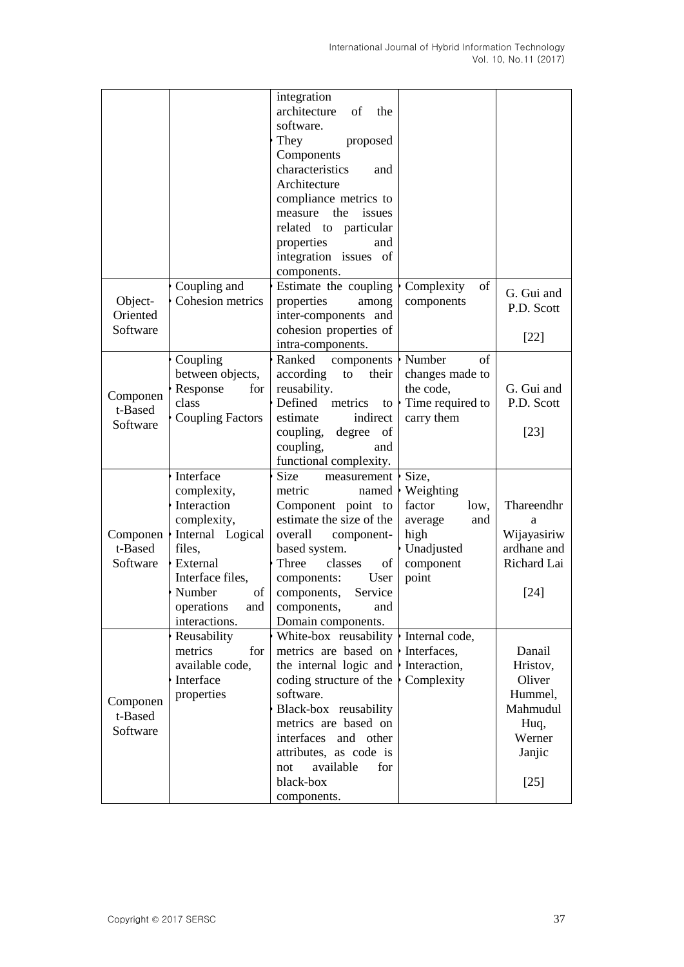|                                 |                                                                                                                                                                            | integration<br>architecture<br>of<br>the<br>software.<br>They<br>proposed<br>Components<br>characteristics<br>and<br>Architecture<br>compliance metrics to<br>the<br>issues<br>measure<br>related to particular<br>properties<br>and<br>integration issues of             |                                                                                                    |                                                                                           |
|---------------------------------|----------------------------------------------------------------------------------------------------------------------------------------------------------------------------|---------------------------------------------------------------------------------------------------------------------------------------------------------------------------------------------------------------------------------------------------------------------------|----------------------------------------------------------------------------------------------------|-------------------------------------------------------------------------------------------|
| Object-<br>Oriented<br>Software | Coupling and<br>Cohesion metrics                                                                                                                                           | components.<br>Estimate the coupling<br>properties<br>among<br>inter-components and<br>cohesion properties of<br>intra-components.                                                                                                                                        | of<br>Complexity<br>components                                                                     | G. Gui and<br>P.D. Scott<br>$[22]$                                                        |
| Componen<br>t-Based<br>Software | Coupling<br>between objects,<br>Response<br>for<br>class<br><b>Coupling Factors</b>                                                                                        | Ranked<br>components<br>according<br>to<br>their<br>reusability.<br>Defined<br>metrics<br>to<br>estimate<br>indirect<br>coupling,<br>degree<br>of<br>coupling,<br>and<br>functional complexity.                                                                           | Number<br>of<br>changes made to<br>the code,<br>Time required to<br>carry them                     | G. Gui and<br>P.D. Scott<br>$[23]$                                                        |
| Componen<br>t-Based<br>Software | Interface<br>complexity,<br>Interaction<br>complexity,<br>Internal Logical<br>files,<br>External<br>Interface files,<br>Number<br>of<br>and<br>operations<br>interactions. | <b>Size</b><br>measurement<br>metric<br>named<br>Component point to<br>estimate the size of the<br>overall<br>component-<br>based system.<br>Three<br>classes<br>of<br>User<br>components:<br>components,<br>Service<br>components,<br>and<br>Domain components.          | Size,<br>Weighting<br>factor<br>low,<br>and<br>average<br>high<br>Unadjusted<br>component<br>point | Thareendhr<br>a<br>Wijayasiriw<br>ardhane and<br>Richard Lai<br>$[24]$                    |
| Componen<br>t-Based<br>Software | Reusability<br>metrics<br>for<br>available code,<br>Interface<br>properties                                                                                                | White-box reusability<br>metrics are based on<br>the internal logic and<br>coding structure of the<br>software.<br>Black-box reusability<br>metrics are based on<br>interfaces and other<br>attributes, as code is<br>available<br>for<br>not<br>black-box<br>components. | Internal code,<br>Interfaces,<br>Interaction,<br>Complexity                                        | Danail<br>Hristov,<br>Oliver<br>Hummel,<br>Mahmudul<br>Huq,<br>Werner<br>Janjic<br>$[25]$ |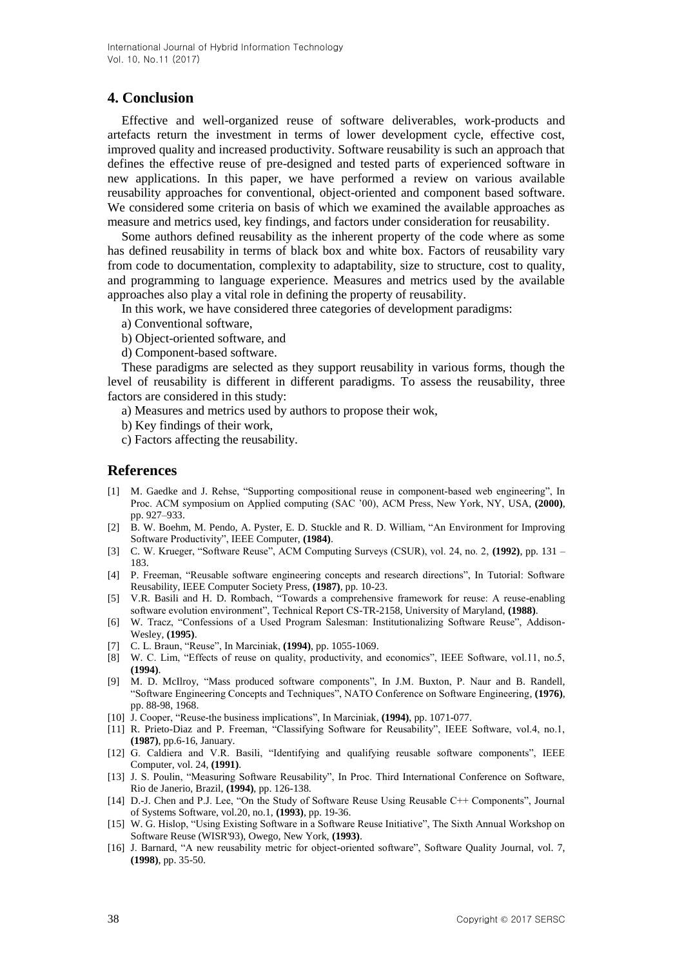## **4. Conclusion**

Effective and well-organized reuse of software deliverables, work-products and artefacts return the investment in terms of lower development cycle, effective cost, improved quality and increased productivity. Software reusability is such an approach that defines the effective reuse of pre-designed and tested parts of experienced software in new applications. In this paper, we have performed a review on various available reusability approaches for conventional, object-oriented and component based software. We considered some criteria on basis of which we examined the available approaches as measure and metrics used, key findings, and factors under consideration for reusability.

Some authors defined reusability as the inherent property of the code where as some has defined reusability in terms of black box and white box. Factors of reusability vary from code to documentation, complexity to adaptability, size to structure, cost to quality, and programming to language experience. Measures and metrics used by the available approaches also play a vital role in defining the property of reusability.

In this work, we have considered three categories of development paradigms:

- a) Conventional software,
- b) Object-oriented software, and
- d) Component-based software.

These paradigms are selected as they support reusability in various forms, though the level of reusability is different in different paradigms. To assess the reusability, three factors are considered in this study:

- a) Measures and metrics used by authors to propose their wok,
- b) Key findings of their work,
- c) Factors affecting the reusability.

#### **References**

- [1] M. Gaedke and J. Rehse, "Supporting compositional reuse in component-based web engineering", In Proc. ACM symposium on Applied computing (SAC '00), ACM Press, New York, NY, USA, **(2000)**, pp. 927–933.
- [2] B. W. Boehm, M. Pendo, A. Pyster, E. D. Stuckle and R. D. William, "An Environment for Improving Software Productivity", IEEE Computer, **(1984)**.
- [3] C. W. Krueger, "Software Reuse", ACM Computing Surveys (CSUR), vol. 24, no. 2, **(1992)**, pp. 131 183.
- [4] P. Freeman, "Reusable software engineering concepts and research directions", In Tutorial: Software Reusability, IEEE Computer Society Press, **(1987)**, pp. 10-23.
- [5] V.R. Basili and H. D. Rombach, "Towards a comprehensive framework for reuse: A reuse-enabling software evolution environment", Technical Report CS-TR-2158, University of Maryland, **(1988)**.
- [6] W. Tracz, "Confessions of a Used Program Salesman: Institutionalizing Software Reuse", Addison-Wesley, **(1995)**.
- [7] C. L. Braun, "Reuse", In Marciniak, **(1994)**, pp. 1055-1069.
- [8] W. C. Lim, "Effects of reuse on quality, productivity, and economics", IEEE Software, vol.11, no.5, **(1994)**.
- [9] M. D. McIlroy, "Mass produced software components", In J.M. Buxton, P. Naur and B. Randell, "Software Engineering Concepts and Techniques", NATO Conference on Software Engineering, **(1976)**, pp. 88-98, 1968.
- [10] J. Cooper, "Reuse-the business implications", In Marciniak, **(1994)**, pp. 1071-077.
- [11] R. Prieto-Diaz and P. Freeman, "Classifying Software for Reusability", IEEE Software, vol.4, no.1, **(1987)**, pp.6-16, January.
- [12] G. Caldiera and V.R. Basili, "Identifying and qualifying reusable software components", IEEE Computer, vol. 24, **(1991)**.
- [13] J. S. Poulin, "Measuring Software Reusability", In Proc. Third International Conference on Software, Rio de Janerio, Brazil, **(1994)**, pp. 126-138.
- [14] D.-J. Chen and P.J. Lee, "On the Study of Software Reuse Using Reusable C++ Components", Journal of Systems Software, vol.20, no.1, **(1993)**, pp. 19-36.
- [15] W. G. Hislop, "Using Existing Software in a Software Reuse Initiative", The Sixth Annual Workshop on Software Reuse (WISR'93), Owego, New York, **(1993)**.
- [16] J. Barnard, "A new reusability metric for object-oriented software", Software Quality Journal, vol. 7, **(1998)**, pp. 35-50.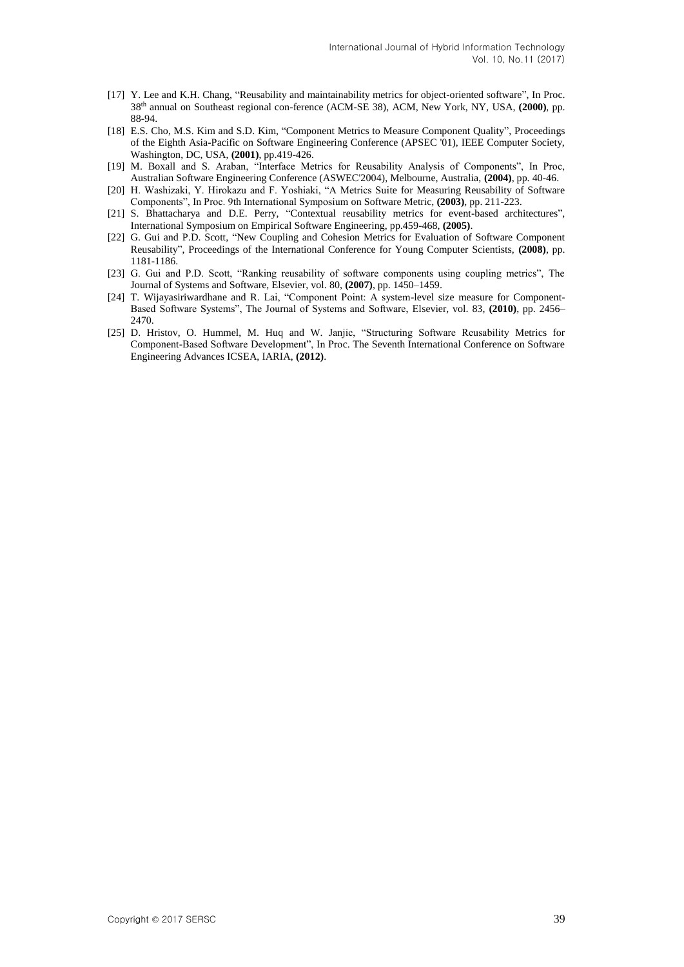- [17] Y. Lee and K.H. Chang, "Reusability and maintainability metrics for object-oriented software", In Proc. 38th annual on Southeast regional con-ference (ACM-SE 38), ACM, New York, NY, USA, **(2000)**, pp. 88-94.
- [18] E.S. Cho, M.S. Kim and S.D. Kim, "Component Metrics to Measure Component Quality", Proceedings of the Eighth Asia-Pacific on Software Engineering Conference (APSEC '01), IEEE Computer Society, Washington, DC, USA, **(2001)**, pp.419-426.
- [19] M. Boxall and S. Araban, "Interface Metrics for Reusability Analysis of Components", In Proc, Australian Software Engineering Conference (ASWEC'2004), Melbourne, Australia, **(2004)**, pp. 40-46.
- [20] H. Washizaki, Y. Hirokazu and F. Yoshiaki, "A Metrics Suite for Measuring Reusability of Software Components", In Proc. 9th International Symposium on Software Metric, **(2003)**, pp. 211-223.
- [21] S. Bhattacharya and D.E. Perry, "Contextual reusability metrics for event-based architectures", International Symposium on Empirical Software Engineering, pp.459-468, **(2005)**.
- [22] G. Gui and P.D. Scott, "New Coupling and Cohesion Metrics for Evaluation of Software Component Reusability", Proceedings of the International Conference for Young Computer Scientists, **(2008)**, pp. 1181-1186.
- [23] G. Gui and P.D. Scott, "Ranking reusability of software components using coupling metrics", The Journal of Systems and Software, Elsevier, vol. 80, **(2007)**, pp. 1450–1459.
- [24] T. Wijayasiriwardhane and R. Lai, "Component Point: A system-level size measure for Component-Based Software Systems", The Journal of Systems and Software, Elsevier, vol. 83, **(2010)**, pp. 2456– 2470.
- [25] D. Hristov, O. Hummel, M. Huq and W. Janjic, "Structuring Software Reusability Metrics for Component-Based Software Development", In Proc. The Seventh International Conference on Software Engineering Advances ICSEA, IARIA, **(2012)**.